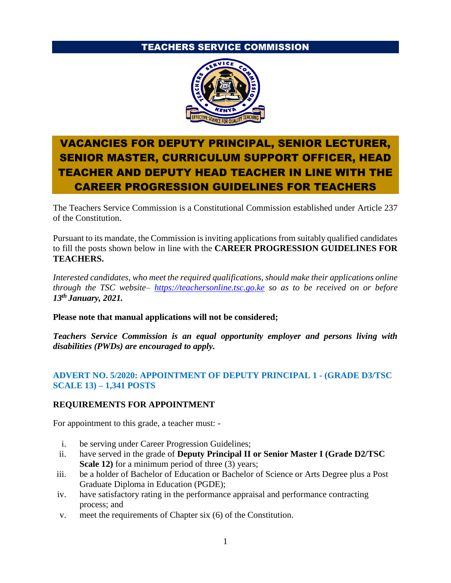# TEACHERS SERVICE COMMISSION



# VACANCIES FOR DEPUTY PRINCIPAL, SENIOR LECTURER, SENIOR MASTER, CURRICULUM SUPPORT OFFICER, HEAD TEACHER AND DEPUTY HEAD TEACHER IN LINE WITH THE CAREER PROGRESSION GUIDELINES FOR TEACHERS

The Teachers Service Commission is a Constitutional Commission established under Article 237 of the Constitution.

Pursuant to its mandate, the Commission is inviting applications from suitably qualified candidates to fill the posts shown below in line with the **CAREER PROGRESSION GUIDELINES FOR TEACHERS.**

*Interested candidates, who meet the required qualifications, should make their applications online through the TSC website– [https://teachersonline.tsc.go.ke](https://teachersonline.tsc.go.ke/) so as to be received on or before 13 th January, 2021.*

**Please note that manual applications will not be considered;**

*Teachers Service Commission is an equal opportunity employer and persons living with disabilities (PWDs) are encouraged to apply.*

# **ADVERT NO. 5/2020: APPOINTMENT OF DEPUTY PRINCIPAL 1 - (GRADE D3/TSC SCALE 13) – 1,341 POSTS**

# **REQUIREMENTS FOR APPOINTMENT**

For appointment to this grade, a teacher must: -

- i. be serving under Career Progression Guidelines;
- ii. have served in the grade of **Deputy Principal II or Senior Master I (Grade D2/TSC Scale 12**) for a minimum period of three (3) years;
- iii. be a holder of Bachelor of Education or Bachelor of Science or Arts Degree plus a Post Graduate Diploma in Education (PGDE);
- iv. have satisfactory rating in the performance appraisal and performance contracting process; and
- v. meet the requirements of Chapter six (6) of the Constitution.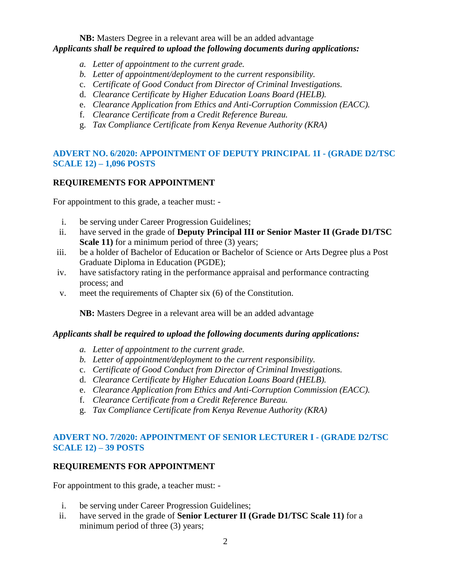**NB:** Masters Degree in a relevant area will be an added advantage *Applicants shall be required to upload the following documents during applications:*

- *a. Letter of appointment to the current grade.*
- *b. Letter of appointment/deployment to the current responsibility.*
- c. *Certificate of Good Conduct from Director of Criminal Investigations.*
- d. *Clearance Certificate by Higher Education Loans Board (HELB).*
- e. *Clearance Application from Ethics and Anti-Corruption Commission (EACC).*
- f. *Clearance Certificate from a Credit Reference Bureau.*
- g. *Tax Compliance Certificate from Kenya Revenue Authority (KRA)*

# **ADVERT NO. 6/2020: APPOINTMENT OF DEPUTY PRINCIPAL 1I - (GRADE D2/TSC SCALE 12) – 1,096 POSTS**

# **REQUIREMENTS FOR APPOINTMENT**

For appointment to this grade, a teacher must: -

- i. be serving under Career Progression Guidelines;
- ii. have served in the grade of **Deputy Principal III or Senior Master II (Grade D1/TSC Scale 11**) for a minimum period of three (3) years;
- iii. be a holder of Bachelor of Education or Bachelor of Science or Arts Degree plus a Post Graduate Diploma in Education (PGDE);
- iv. have satisfactory rating in the performance appraisal and performance contracting process; and
- v. meet the requirements of Chapter six (6) of the Constitution.

**NB:** Masters Degree in a relevant area will be an added advantage

#### *Applicants shall be required to upload the following documents during applications:*

- *a. Letter of appointment to the current grade.*
- *b. Letter of appointment/deployment to the current responsibility.*
- c. *Certificate of Good Conduct from Director of Criminal Investigations.*
- d. *Clearance Certificate by Higher Education Loans Board (HELB).*
- e. *Clearance Application from Ethics and Anti-Corruption Commission (EACC).*
- f. *Clearance Certificate from a Credit Reference Bureau.*
- g. *Tax Compliance Certificate from Kenya Revenue Authority (KRA)*

### **ADVERT NO. 7/2020: APPOINTMENT OF SENIOR LECTURER I - (GRADE D2/TSC SCALE 12) – 39 POSTS**

#### **REQUIREMENTS FOR APPOINTMENT**

For appointment to this grade, a teacher must: -

- i. be serving under Career Progression Guidelines;
- ii. have served in the grade of **Senior Lecturer II (Grade D1/TSC Scale 11)** for a minimum period of three (3) years;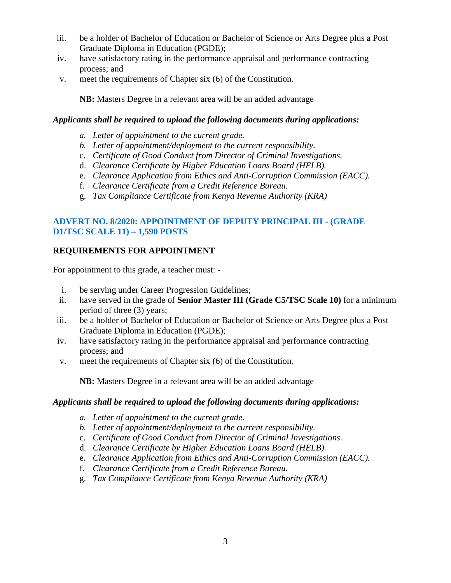- iii. be a holder of Bachelor of Education or Bachelor of Science or Arts Degree plus a Post Graduate Diploma in Education (PGDE);
- iv. have satisfactory rating in the performance appraisal and performance contracting process; and
- v. meet the requirements of Chapter six (6) of the Constitution.

**NB:** Masters Degree in a relevant area will be an added advantage

### *Applicants shall be required to upload the following documents during applications:*

- *a. Letter of appointment to the current grade.*
- *b. Letter of appointment/deployment to the current responsibility.*
- c. *Certificate of Good Conduct from Director of Criminal Investigations.*
- d. *Clearance Certificate by Higher Education Loans Board (HELB).*
- e. *Clearance Application from Ethics and Anti-Corruption Commission (EACC).*
- f. *Clearance Certificate from a Credit Reference Bureau.*
- g. *Tax Compliance Certificate from Kenya Revenue Authority (KRA)*

### **ADVERT NO. 8/2020: APPOINTMENT OF DEPUTY PRINCIPAL III - (GRADE D1/TSC SCALE 11) – 1,590 POSTS**

# **REQUIREMENTS FOR APPOINTMENT**

For appointment to this grade, a teacher must: -

- i. be serving under Career Progression Guidelines;
- ii. have served in the grade of **Senior Master III (Grade C5/TSC Scale 10)** for a minimum period of three (3) years;
- iii. be a holder of Bachelor of Education or Bachelor of Science or Arts Degree plus a Post Graduate Diploma in Education (PGDE);
- iv. have satisfactory rating in the performance appraisal and performance contracting process; and
- v. meet the requirements of Chapter six (6) of the Constitution.

**NB:** Masters Degree in a relevant area will be an added advantage

#### *Applicants shall be required to upload the following documents during applications:*

- *a. Letter of appointment to the current grade.*
- *b. Letter of appointment/deployment to the current responsibility.*
- c. *Certificate of Good Conduct from Director of Criminal Investigations.*
- d. *Clearance Certificate by Higher Education Loans Board (HELB).*
- e. *Clearance Application from Ethics and Anti-Corruption Commission (EACC).*
- f. *Clearance Certificate from a Credit Reference Bureau.*
- g. *Tax Compliance Certificate from Kenya Revenue Authority (KRA)*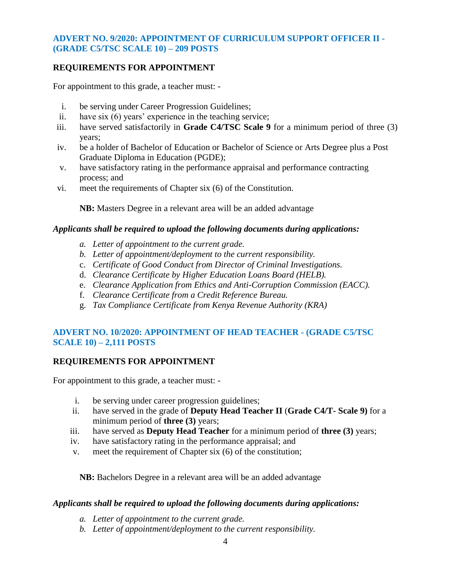### **ADVERT NO. 9/2020: APPOINTMENT OF CURRICULUM SUPPORT OFFICER II - (GRADE C5/TSC SCALE 10) – 209 POSTS**

### **REQUIREMENTS FOR APPOINTMENT**

For appointment to this grade, a teacher must: -

- i. be serving under Career Progression Guidelines;
- ii. have six (6) years' experience in the teaching service;
- iii. have served satisfactorily in **Grade C4/TSC Scale 9** for a minimum period of three (3) years;
- iv. be a holder of Bachelor of Education or Bachelor of Science or Arts Degree plus a Post Graduate Diploma in Education (PGDE);
- v. have satisfactory rating in the performance appraisal and performance contracting process; and
- vi. meet the requirements of Chapter six (6) of the Constitution.

**NB:** Masters Degree in a relevant area will be an added advantage

### *Applicants shall be required to upload the following documents during applications:*

- *a. Letter of appointment to the current grade.*
- *b. Letter of appointment/deployment to the current responsibility.*
- c. *Certificate of Good Conduct from Director of Criminal Investigations.*
- d. *Clearance Certificate by Higher Education Loans Board (HELB).*
- e. *Clearance Application from Ethics and Anti-Corruption Commission (EACC).*
- f. *Clearance Certificate from a Credit Reference Bureau.*
- g. *Tax Compliance Certificate from Kenya Revenue Authority (KRA)*

# **ADVERT NO. 10/2020: APPOINTMENT OF HEAD TEACHER - (GRADE C5/TSC SCALE 10) – 2,111 POSTS**

# **REQUIREMENTS FOR APPOINTMENT**

For appointment to this grade, a teacher must: -

- i. be serving under career progression guidelines;
- ii. have served in the grade of **Deputy Head Teacher II** (**Grade C4/T- Scale 9)** for a minimum period of **three (3)** years;
- iii. have served as **Deputy Head Teacher** for a minimum period of **three (3)** years;
- iv. have satisfactory rating in the performance appraisal; and
- v. meet the requirement of Chapter six (6) of the constitution;

**NB:** Bachelors Degree in a relevant area will be an added advantage

#### *Applicants shall be required to upload the following documents during applications:*

- *a. Letter of appointment to the current grade.*
- *b. Letter of appointment/deployment to the current responsibility.*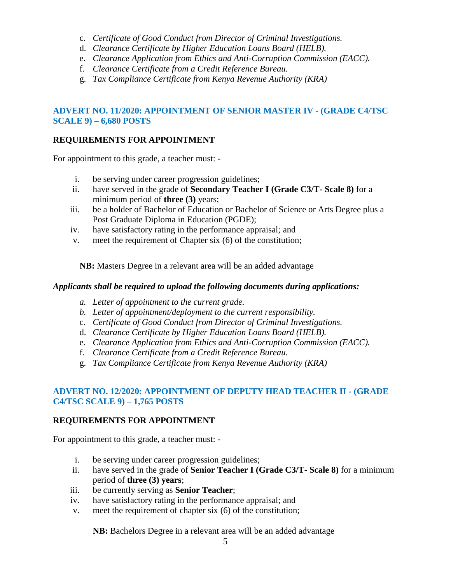- c. *Certificate of Good Conduct from Director of Criminal Investigations.*
- d. *Clearance Certificate by Higher Education Loans Board (HELB).*
- e. *Clearance Application from Ethics and Anti-Corruption Commission (EACC).*
- f. *Clearance Certificate from a Credit Reference Bureau.*
- g. *Tax Compliance Certificate from Kenya Revenue Authority (KRA)*

# **ADVERT NO. 11/2020: APPOINTMENT OF SENIOR MASTER IV - (GRADE C4/TSC SCALE 9) – 6,680 POSTS**

# **REQUIREMENTS FOR APPOINTMENT**

For appointment to this grade, a teacher must: -

- i. be serving under career progression guidelines;
- ii. have served in the grade of **Secondary Teacher I (Grade C3/T- Scale 8)** for a minimum period of **three (3)** years;
- iii. be a holder of Bachelor of Education or Bachelor of Science or Arts Degree plus a Post Graduate Diploma in Education (PGDE);
- iv. have satisfactory rating in the performance appraisal; and
- v. meet the requirement of Chapter six (6) of the constitution;

**NB:** Masters Degree in a relevant area will be an added advantage

#### *Applicants shall be required to upload the following documents during applications:*

- *a. Letter of appointment to the current grade.*
- *b. Letter of appointment/deployment to the current responsibility.*
- c. *Certificate of Good Conduct from Director of Criminal Investigations.*
- d. *Clearance Certificate by Higher Education Loans Board (HELB).*
- e. *Clearance Application from Ethics and Anti-Corruption Commission (EACC).*
- f. *Clearance Certificate from a Credit Reference Bureau.*
- g. *Tax Compliance Certificate from Kenya Revenue Authority (KRA)*

# **ADVERT NO. 12/2020: APPOINTMENT OF DEPUTY HEAD TEACHER II - (GRADE C4/TSC SCALE 9) – 1,765 POSTS**

# **REQUIREMENTS FOR APPOINTMENT**

For appointment to this grade, a teacher must: -

- i. be serving under career progression guidelines;
- ii. have served in the grade of **Senior Teacher I (Grade C3/T- Scale 8)** for a minimum period of **three (3) years**;
- iii. be currently serving as **Senior Teacher**;
- iv. have satisfactory rating in the performance appraisal; and
- v. meet the requirement of chapter six (6) of the constitution;

**NB:** Bachelors Degree in a relevant area will be an added advantage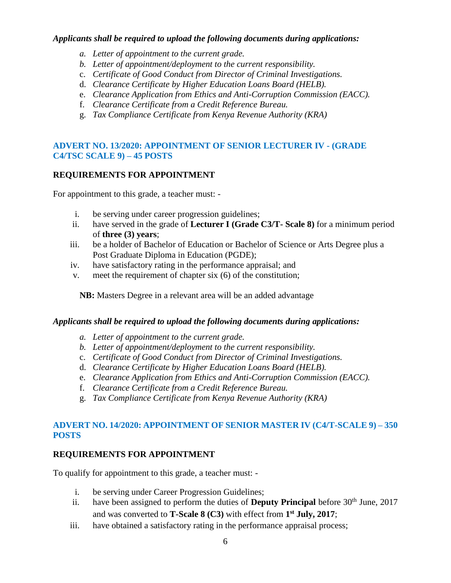#### *Applicants shall be required to upload the following documents during applications:*

- *a. Letter of appointment to the current grade.*
- *b. Letter of appointment/deployment to the current responsibility.*
- c. *Certificate of Good Conduct from Director of Criminal Investigations.*
- d. *Clearance Certificate by Higher Education Loans Board (HELB).*
- e. *Clearance Application from Ethics and Anti-Corruption Commission (EACC).*
- f. *Clearance Certificate from a Credit Reference Bureau.*
- g. *Tax Compliance Certificate from Kenya Revenue Authority (KRA)*

# **ADVERT NO. 13/2020: APPOINTMENT OF SENIOR LECTURER IV - (GRADE C4/TSC SCALE 9) – 45 POSTS**

# **REQUIREMENTS FOR APPOINTMENT**

For appointment to this grade, a teacher must: -

- i. be serving under career progression guidelines;
- ii. have served in the grade of **Lecturer I (Grade C3/T- Scale 8)** for a minimum period of **three (3) years**;
- iii. be a holder of Bachelor of Education or Bachelor of Science or Arts Degree plus a Post Graduate Diploma in Education (PGDE);
- iv. have satisfactory rating in the performance appraisal; and
- v. meet the requirement of chapter six (6) of the constitution;

**NB:** Masters Degree in a relevant area will be an added advantage

#### *Applicants shall be required to upload the following documents during applications:*

- *a. Letter of appointment to the current grade.*
- *b. Letter of appointment/deployment to the current responsibility.*
- c. *Certificate of Good Conduct from Director of Criminal Investigations.*
- d. *Clearance Certificate by Higher Education Loans Board (HELB).*
- e. *Clearance Application from Ethics and Anti-Corruption Commission (EACC).*
- f. *Clearance Certificate from a Credit Reference Bureau.*
- g. *Tax Compliance Certificate from Kenya Revenue Authority (KRA)*

# **ADVERT NO. 14/2020: APPOINTMENT OF SENIOR MASTER IV (C4/T-SCALE 9) – 350 POSTS**

# **REQUIREMENTS FOR APPOINTMENT**

To qualify for appointment to this grade, a teacher must: -

- i. be serving under Career Progression Guidelines;
- ii. have been assigned to perform the duties of **Deputy Principal** before 30<sup>th</sup> June, 2017 and was converted to **T-Scale 8 (C3)** with effect from **1 st July, 2017**;
- iii. have obtained a satisfactory rating in the performance appraisal process;